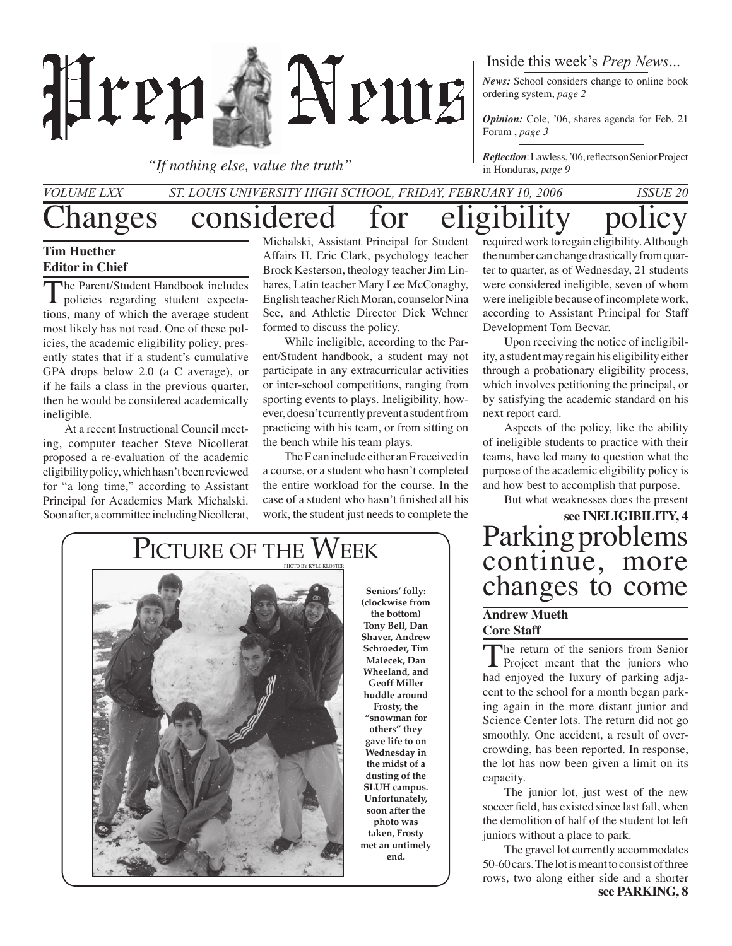

*"If nothing else, value the truth"*

#### Inside this week's *Prep News*...

*News:* School considers change to online book ordering system, *page 2*

*Opinion:* Cole, '06, shares agenda for Feb. 21 Forum , *page 3*

*Reflection*: Lawless, '06, reflects on Senior Project in Honduras, *page 9*

### hanges considered for eligibility *Volume LXX St. Louis University High School, Friday, February 10, 2006 Issue 20*

#### **Tim Huether Editor in Chief**

The Parent/Student Handbook includes<br>policies regarding student expectations, many of which the average student most likely has not read. One of these policies, the academic eligibility policy, presently states that if a student's cumulative GPA drops below 2.0 (a C average), or if he fails a class in the previous quarter, then he would be considered academically ineligible.

At a recent Instructional Council meeting, computer teacher Steve Nicollerat proposed a re-evaluation of the academic eligibility policy, which hasn't been reviewed for "a long time," according to Assistant Principal for Academics Mark Michalski. Soon after, a committee including Nicollerat,

Michalski, Assistant Principal for Student Affairs H. Eric Clark, psychology teacher Brock Kesterson, theology teacher Jim Linhares, Latin teacher Mary Lee McConaghy, English teacher Rich Moran, counselor Nina See, and Athletic Director Dick Wehner formed to discuss the policy.

While ineligible, according to the Parent/Student handbook, a student may not participate in any extracurricular activities or inter-school competitions, ranging from sporting events to plays. Ineligibility, however, doesn't currently prevent a student from practicing with his team, or from sitting on the bench while his team plays.

The F can include either an F received in a course, or a student who hasn't completed the entire workload for the course. In the case of a student who hasn't finished all his work, the student just needs to complete the



**Seniors' folly: (clockwise from the bottom) Tony Bell, Dan Shaver, Andrew Schroeder, Tim Malecek, Dan Wheeland, and Geoff Miller huddle around Frosty, the "snowman for others" they gave life to on Wednesday in the midst of a dusting of the SLUH campus. Unfortunately, soon after the photo was taken, Frosty met an untimely end.**

required work to regain eligibility. Although the number can change drastically from quarter to quarter, as of Wednesday, 21 students were considered ineligible, seven of whom were ineligible because of incomplete work, according to Assistant Principal for Staff Development Tom Becvar.

Upon receiving the notice of ineligibility, a student may regain his eligibility either through a probationary eligibility process, which involves petitioning the principal, or by satisfying the academic standard on his next report card.

Aspects of the policy, like the ability of ineligible students to practice with their teams, have led many to question what the purpose of the academic eligibility policy is and how best to accomplish that purpose.

But what weaknesses does the present

**see INELIGIBILITY, 4** Parking problems continue, more changes to come

#### **Andrew Mueth Core Staff**

The return of the seniors from Senior<br>
Project meant that the juniors who had enjoyed the luxury of parking adjacent to the school for a month began parking again in the more distant junior and Science Center lots. The return did not go smoothly. One accident, a result of overcrowding, has been reported. In response, the lot has now been given a limit on its capacity.

 The junior lot, just west of the new soccer field, has existed since last fall, when the demolition of half of the student lot left juniors without a place to park.

**see PARKING, 8** The gravel lot currently accommodates 50-60 cars. The lot is meant to consist of three rows, two along either side and a shorter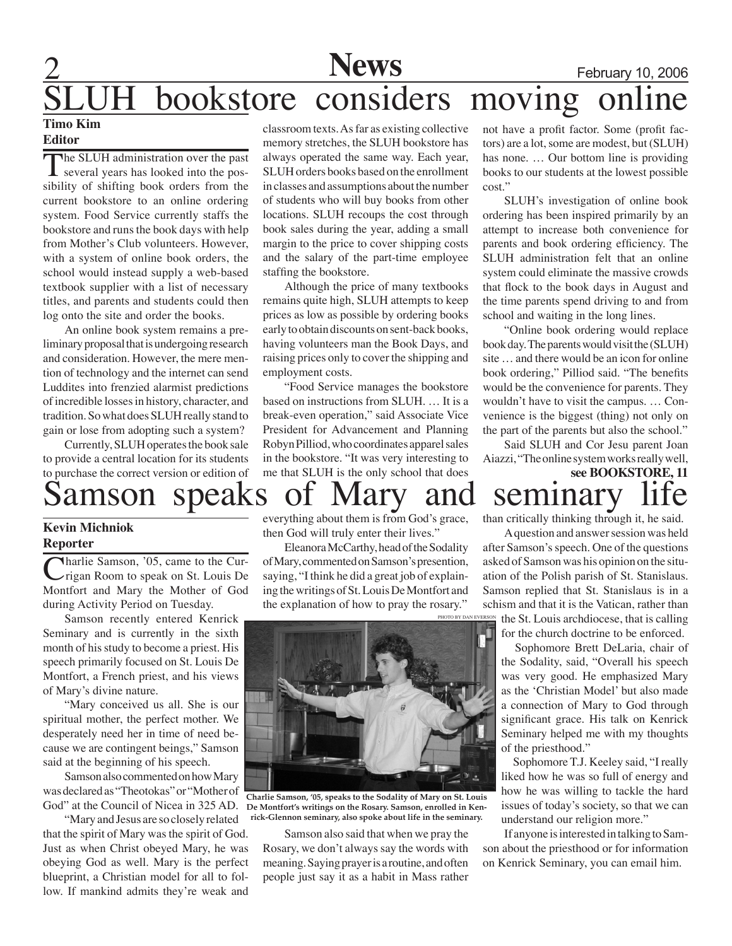### **News**<br> **Considers moving online** bookstore considers **Timo Kim**

#### **Editor**

The SLUH administration over the past  $\blacksquare$  several years has looked into the possibility of shifting book orders from the current bookstore to an online ordering system. Food Service currently staffs the bookstore and runs the book days with help from Mother's Club volunteers. However, with a system of online book orders, the school would instead supply a web-based textbook supplier with a list of necessary titles, and parents and students could then log onto the site and order the books.

An online book system remains a preliminary proposal that is undergoing research and consideration. However, the mere mention of technology and the internet can send Luddites into frenzied alarmist predictions of incredible losses in history, character, and tradition. So what does SLUH really stand to gain or lose from adopting such a system?

Currently, SLUH operates the book sale to provide a central location for its students to purchase the correct version or edition of

classroom texts. As far as existing collective memory stretches, the SLUH bookstore has always operated the same way. Each year, SLUH orders books based on the enrollment in classes and assumptions about the number of students who will buy books from other locations. SLUH recoups the cost through book sales during the year, adding a small margin to the price to cover shipping costs and the salary of the part-time employee staffing the bookstore.

Although the price of many textbooks remains quite high, SLUH attempts to keep prices as low as possible by ordering books early to obtain discounts on sent-back books, having volunteers man the Book Days, and raising prices only to cover the shipping and employment costs.

"Food Service manages the bookstore based on instructions from SLUH. … It is a break-even operation," said Associate Vice President for Advancement and Planning Robyn Pilliod, who coordinates apparel sales in the bookstore. "It was very interesting to me that SLUH is the only school that does not have a profit factor. Some (profit factors) are a lot, some are modest, but (SLUH) has none. … Our bottom line is providing books to our students at the lowest possible cost."

SLUH's investigation of online book ordering has been inspired primarily by an attempt to increase both convenience for parents and book ordering efficiency. The SLUH administration felt that an online system could eliminate the massive crowds that flock to the book days in August and the time parents spend driving to and from school and waiting in the long lines.

"Online book ordering would replace book day. The parents would visit the (SLUH) site … and there would be an icon for online book ordering," Pilliod said. "The benefits would be the convenience for parents. They wouldn't have to visit the campus. … Convenience is the biggest (thing) not only on the part of the parents but also the school."

**see BOOKSTORE, 11** Said SLUH and Cor Jesu parent Joan Aiazzi, "The online system works really well,

## amson speaks of Mary and seminary

#### **Kevin Michniok Reporter**

Charlie Samson, '05, came to the Currigan Room to speak on St. Louis De Montfort and Mary the Mother of God during Activity Period on Tuesday.

Samson recently entered Kenrick Seminary and is currently in the sixth month of his study to become a priest. His speech primarily focused on St. Louis De Montfort, a French priest, and his views of Mary's divine nature.

"Mary conceived us all. She is our spiritual mother, the perfect mother. We desperately need her in time of need because we are contingent beings," Samson said at the beginning of his speech.

Samson also commented on how Mary was declared as "Theotokas" or "Mother of God" at the Council of Nicea in 325 AD.

"Mary and Jesus are so closely related that the spirit of Mary was the spirit of God. Just as when Christ obeyed Mary, he was obeying God as well. Mary is the perfect blueprint, a Christian model for all to follow. If mankind admits they're weak and

everything about them is from God's grace, then God will truly enter their lives."

 Eleanora McCarthy, head of the Sodality of Mary, commented on Samson's presention, saying, "I think he did a great job of explaining the writings of St. Louis De Montfort and the explanation of how to pray the rosary."



**Charlie Samson, '05, speaks to the Sodality of Mary on St. Louis De Montfort's writings on the Rosary. Samson, enrolled in Kenrick-Glennon seminary, also spoke about life in the seminary.**

Samson also said that when we pray the Rosary, we don't always say the words with meaning. Saying prayer is a routine, and often people just say it as a habit in Mass rather

than critically thinking through it, he said.

photo by dan Everson A question and answer session was held after Samson's speech. One of the questions asked of Samson was his opinion on the situation of the Polish parish of St. Stanislaus. Samson replied that St. Stanislaus is in a schism and that it is the Vatican, rather than the St. Louis archdiocese, that is calling for the church doctrine to be enforced.

> Sophomore Brett DeLaria, chair of the Sodality, said, "Overall his speech was very good. He emphasized Mary as the 'Christian Model' but also made a connection of Mary to God through significant grace. His talk on Kenrick Seminary helped me with my thoughts of the priesthood."

> Sophomore T.J. Keeley said, "I really liked how he was so full of energy and how he was willing to tackle the hard issues of today's society, so that we can understand our religion more."

If anyone is interested in talking to Samson about the priesthood or for information on Kenrick Seminary, you can email him.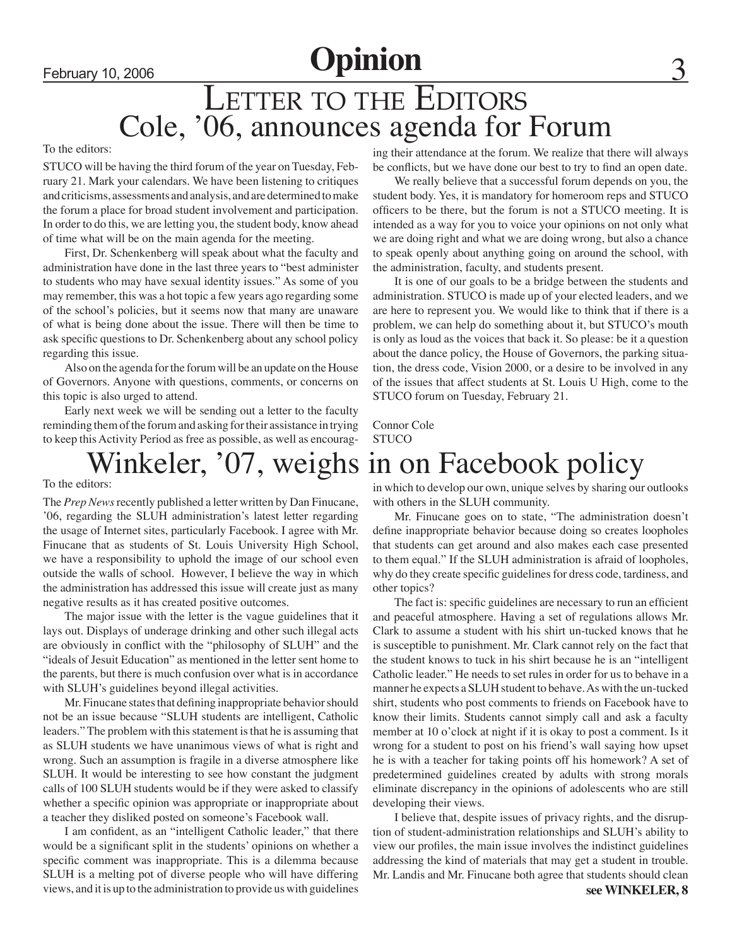### LETTER TO THE EDITORS Cole, '06, announces agenda for Forum

#### To the editors:

STUCO will be having the third forum of the year on Tuesday, February 21. Mark your calendars. We have been listening to critiques and criticisms, assessments and analysis, and are determined to make the forum a place for broad student involvement and participation. In order to do this, we are letting you, the student body, know ahead of time what will be on the main agenda for the meeting.

First, Dr. Schenkenberg will speak about what the faculty and administration have done in the last three years to "best administer to students who may have sexual identity issues." As some of you may remember, this was a hot topic a few years ago regarding some of the school's policies, but it seems now that many are unaware of what is being done about the issue. There will then be time to ask specific questions to Dr. Schenkenberg about any school policy regarding this issue.

Also on the agenda for the forum will be an update on the House of Governors. Anyone with questions, comments, or concerns on this topic is also urged to attend.

 Early next week we will be sending out a letter to the faculty reminding them of the forum and asking for their assistance in trying to keep this Activity Period as free as possible, as well as encouraging their attendance at the forum. We realize that there will always be conflicts, but we have done our best to try to find an open date.

We really believe that a successful forum depends on you, the student body. Yes, it is mandatory for homeroom reps and STUCO officers to be there, but the forum is not a STUCO meeting. It is intended as a way for you to voice your opinions on not only what we are doing right and what we are doing wrong, but also a chance to speak openly about anything going on around the school, with the administration, faculty, and students present.

It is one of our goals to be a bridge between the students and administration. STUCO is made up of your elected leaders, and we are here to represent you. We would like to think that if there is a problem, we can help do something about it, but STUCO's mouth is only as loud as the voices that back it. So please: be it a question about the dance policy, the House of Governors, the parking situation, the dress code, Vision 2000, or a desire to be involved in any of the issues that affect students at St. Louis U High, come to the STUCO forum on Tuesday, February 21.

Connor Cole **STUCO** 

## Winkeler, '07, weighs in on Facebook policy

To the editors:

The *Prep News* recently published a letter written by Dan Finucane, '06, regarding the SLUH administration's latest letter regarding the usage of Internet sites, particularly Facebook. I agree with Mr. Finucane that as students of St. Louis University High School, we have a responsibility to uphold the image of our school even outside the walls of school. However, I believe the way in which the administration has addressed this issue will create just as many negative results as it has created positive outcomes.

 The major issue with the letter is the vague guidelines that it lays out. Displays of underage drinking and other such illegal acts are obviously in conflict with the "philosophy of SLUH" and the "ideals of Jesuit Education" as mentioned in the letter sent home to the parents, but there is much confusion over what is in accordance with SLUH's guidelines beyond illegal activities.

Mr. Finucane states that defining inappropriate behavior should not be an issue because "SLUH students are intelligent, Catholic leaders." The problem with this statement is that he is assuming that as SLUH students we have unanimous views of what is right and wrong. Such an assumption is fragile in a diverse atmosphere like SLUH. It would be interesting to see how constant the judgment calls of 100 SLUH students would be if they were asked to classify whether a specific opinion was appropriate or inappropriate about a teacher they disliked posted on someone's Facebook wall.

I am confident, as an "intelligent Catholic leader," that there would be a significant split in the students' opinions on whether a specific comment was inappropriate. This is a dilemma because SLUH is a melting pot of diverse people who will have differing views, and it is up to the administration to provide us with guidelines

in which to develop our own, unique selves by sharing our outlooks with others in the SLUH community.

Mr. Finucane goes on to state, "The administration doesn't define inappropriate behavior because doing so creates loopholes that students can get around and also makes each case presented to them equal." If the SLUH administration is afraid of loopholes, why do they create specific guidelines for dress code, tardiness, and other topics?

 The fact is: specific guidelines are necessary to run an efficient and peaceful atmosphere. Having a set of regulations allows Mr. Clark to assume a student with his shirt un-tucked knows that he is susceptible to punishment. Mr. Clark cannot rely on the fact that the student knows to tuck in his shirt because he is an "intelligent Catholic leader." He needs to set rules in order for us to behave in a manner he expects a SLUH student to behave. As with the un-tucked shirt, students who post comments to friends on Facebook have to know their limits. Students cannot simply call and ask a faculty member at 10 o'clock at night if it is okay to post a comment. Is it wrong for a student to post on his friend's wall saying how upset he is with a teacher for taking points off his homework? A set of predetermined guidelines created by adults with strong morals eliminate discrepancy in the opinions of adolescents who are still developing their views.

I believe that, despite issues of privacy rights, and the disruption of student-administration relationships and SLUH's ability to view our profiles, the main issue involves the indistinct guidelines addressing the kind of materials that may get a student in trouble. Mr. Landis and Mr. Finucane both agree that students should clean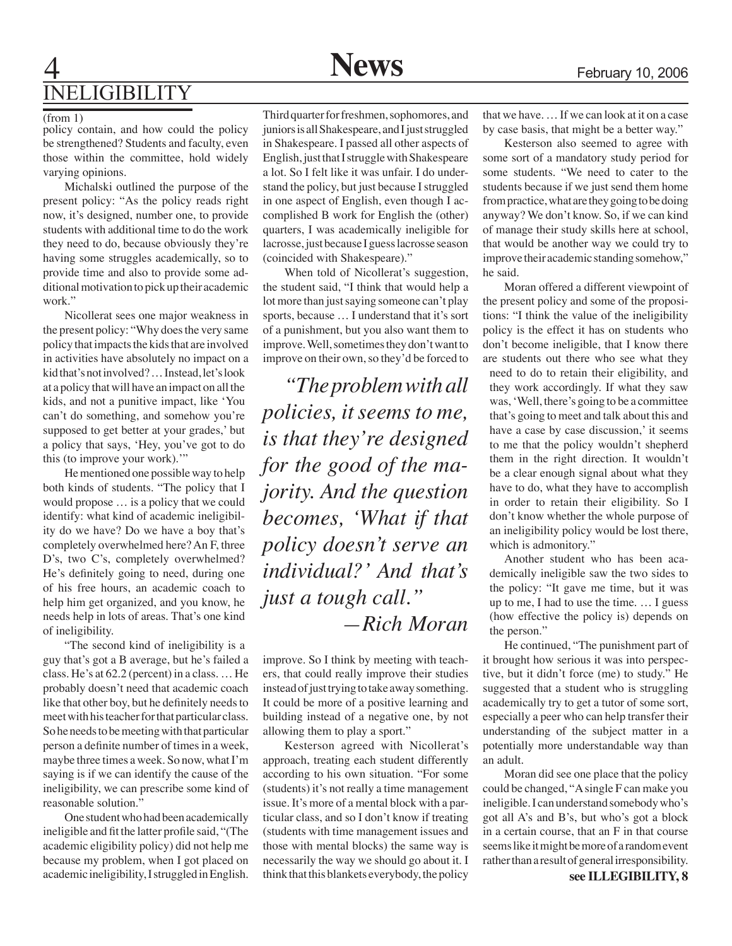### **News** February 10, 2006 Ineligibility

#### (from 1)

policy contain, and how could the policy be strengthened? Students and faculty, even those within the committee, hold widely varying opinions.

Michalski outlined the purpose of the present policy: "As the policy reads right now, it's designed, number one, to provide students with additional time to do the work they need to do, because obviously they're having some struggles academically, so to provide time and also to provide some additional motivation to pick up their academic work."

Nicollerat sees one major weakness in the present policy: "Why does the very same policy that impacts the kids that are involved in activities have absolutely no impact on a kid that's not involved? … Instead, let's look at a policy that will have an impact on all the kids, and not a punitive impact, like 'You can't do something, and somehow you're supposed to get better at your grades,' but a policy that says, 'Hey, you've got to do this (to improve your work)."

He mentioned one possible way to help both kinds of students. "The policy that I would propose … is a policy that we could identify: what kind of academic ineligibility do we have? Do we have a boy that's completely overwhelmed here? An F, three D's, two C's, completely overwhelmed? He's definitely going to need, during one of his free hours, an academic coach to help him get organized, and you know, he needs help in lots of areas. That's one kind of ineligibility.

"The second kind of ineligibility is a guy that's got a B average, but he's failed a class. He's at 62.2 (percent) in a class. … He probably doesn't need that academic coach like that other boy, but he definitely needs to meet with his teacher for that particular class. So he needs to be meeting with that particular person a definite number of times in a week, maybe three times a week. So now, what I'm saying is if we can identify the cause of the ineligibility, we can prescribe some kind of reasonable solution.'

One student who had been academically ineligible and fit the latter profile said, "(The academic eligibility policy) did not help me because my problem, when I got placed on academic ineligibility, I struggled in English.

Third quarter for freshmen, sophomores, and juniors is all Shakespeare, and I just struggled in Shakespeare. I passed all other aspects of English, just that I struggle with Shakespeare a lot. So I felt like it was unfair. I do understand the policy, but just because I struggled in one aspect of English, even though I accomplished B work for English the (other) quarters, I was academically ineligible for lacrosse, just because I guess lacrosse season (coincided with Shakespeare)."

When told of Nicollerat's suggestion, the student said, "I think that would help a lot more than just saying someone can't play sports, because … I understand that it's sort of a punishment, but you also want them to improve. Well, sometimes they don't want to improve on their own, so they'd be forced to

*"The problem with all policies, it seems to me, is that they're designed for the good of the majority. And the question becomes, 'What if that policy doesn't serve an individual?' And that's just a tough call." —Rich Moran*

improve. So I think by meeting with teachers, that could really improve their studies instead of just trying to take away something. It could be more of a positive learning and building instead of a negative one, by not allowing them to play a sport."

 Kesterson agreed with Nicollerat's approach, treating each student differently according to his own situation. "For some (students) it's not really a time management issue. It's more of a mental block with a particular class, and so I don't know if treating (students with time management issues and those with mental blocks) the same way is necessarily the way we should go about it. I think that this blankets everybody, the policy

that we have. … If we can look at it on a case by case basis, that might be a better way."

Kesterson also seemed to agree with some sort of a mandatory study period for some students. "We need to cater to the students because if we just send them home from practice, what are they going to be doing anyway? We don't know. So, if we can kind of manage their study skills here at school, that would be another way we could try to improve their academic standing somehow," he said.

Moran offered a different viewpoint of the present policy and some of the propositions: "I think the value of the ineligibility policy is the effect it has on students who don't become ineligible, that I know there are students out there who see what they need to do to retain their eligibility, and they work accordingly. If what they saw was, 'Well, there's going to be a committee that's going to meet and talk about this and have a case by case discussion,' it seems to me that the policy wouldn't shepherd them in the right direction. It wouldn't be a clear enough signal about what they have to do, what they have to accomplish in order to retain their eligibility. So I don't know whether the whole purpose of an ineligibility policy would be lost there, which is admonitory."

Another student who has been academically ineligible saw the two sides to the policy: "It gave me time, but it was up to me, I had to use the time. … I guess (how effective the policy is) depends on the person."

He continued, "The punishment part of it brought how serious it was into perspective, but it didn't force (me) to study." He suggested that a student who is struggling academically try to get a tutor of some sort, especially a peer who can help transfer their understanding of the subject matter in a potentially more understandable way than an adult.

Moran did see one place that the policy could be changed, "A single F can make you ineligible. I can understand somebody who's got all A's and B's, but who's got a block in a certain course, that an F in that course seems like it might be more of a random event rather than a result of general irresponsibility.

**see ILLEGIBILITY, 8**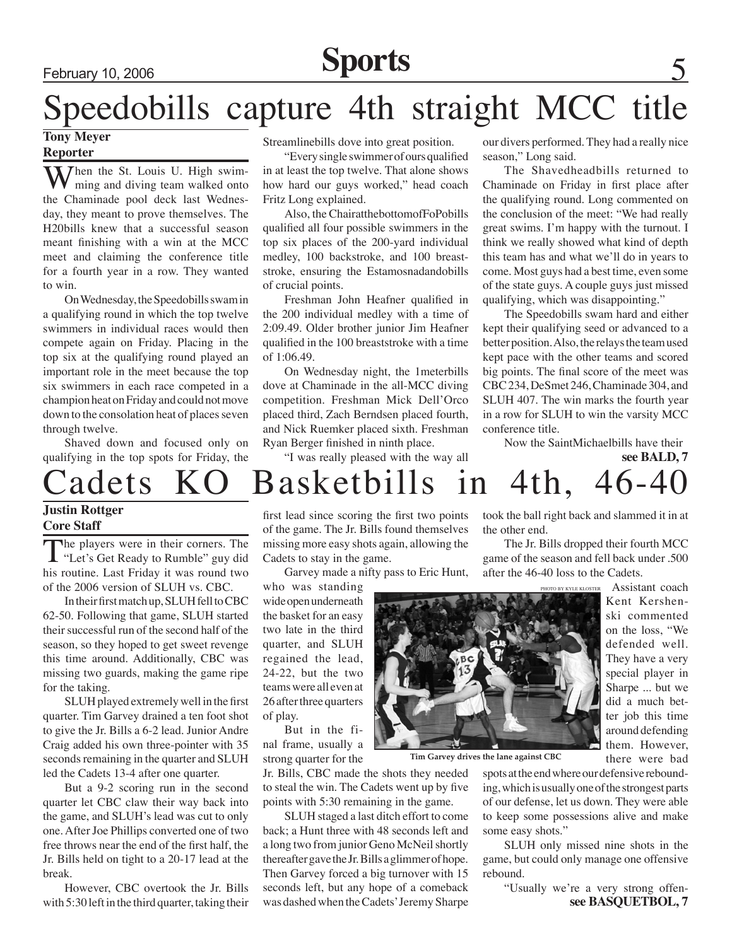## February 10, 2006 **Sports**

## Speedobills capture 4th straight MCC title

#### **Tony Meyer Reporter**

Then the St. Louis U. High swimming and diving team walked onto the Chaminade pool deck last Wednesday, they meant to prove themselves. The H20bills knew that a successful season meant finishing with a win at the MCC meet and claiming the conference title for a fourth year in a row. They wanted to win.

 On Wednesday, the Speedobills swam in a qualifying round in which the top twelve swimmers in individual races would then compete again on Friday. Placing in the top six at the qualifying round played an important role in the meet because the top six swimmers in each race competed in a champion heat on Friday and could not move down to the consolation heat of places seven through twelve.

Shaved down and focused only on qualifying in the top spots for Friday, the Streamlinebills dove into great position.

"Every single swimmer of ours qualified in at least the top twelve. That alone shows how hard our guys worked," head coach Fritz Long explained.

Also, the ChairatthebottomofFoPobills qualified all four possible swimmers in the top six places of the 200-yard individual medley, 100 backstroke, and 100 breaststroke, ensuring the Estamosnadandobills of crucial points.

Freshman John Heafner qualified in the 200 individual medley with a time of 2:09.49. Older brother junior Jim Heafner qualified in the 100 breaststroke with a time of 1:06.49.

 On Wednesday night, the 1meterbills dove at Chaminade in the all-MCC diving competition. Freshman Mick Dell'Orco placed third, Zach Berndsen placed fourth, and Nick Ruemker placed sixth. Freshman Ryan Berger finished in ninth place.

"I was really pleased with the way all

our divers performed. They had a really nice season," Long said.

 The Shavedheadbills returned to Chaminade on Friday in first place after the qualifying round. Long commented on the conclusion of the meet: "We had really great swims. I'm happy with the turnout. I think we really showed what kind of depth this team has and what we'll do in years to come. Most guys had a best time, even some of the state guys. A couple guys just missed qualifying, which was disappointing."

 The Speedobills swam hard and either kept their qualifying seed or advanced to a better position. Also, the relays the team used kept pace with the other teams and scored big points. The final score of the meet was CBC 234, DeSmet 246, Chaminade 304, and SLUH 407. The win marks the fourth year in a row for SLUH to win the varsity MCC conference title.

Now the SaintMichaelbills have their

**see BALD, 7**

Assistant coach Kent Kershen-

on the loss, "We defended well. They have a very special player in Sharpe ... but we did a much better job this time

there were bad

## Cadets KO Basketbills in 4th, 46-4

#### **Justin Rottger Core Staff**

The players were in their corners. The "Let's Get Ready to Rumble" guy did his routine. Last Friday it was round two of the 2006 version of SLUH vs. CBC.

In their first match up, SLUH fell to CBC 62-50. Following that game, SLUH started their successful run of the second half of the season, so they hoped to get sweet revenge this time around. Additionally, CBC was missing two guards, making the game ripe for the taking.

SLUH played extremely well in the first quarter. Tim Garvey drained a ten foot shot to give the Jr. Bills a 6-2 lead. Junior Andre Craig added his own three-pointer with 35 seconds remaining in the quarter and SLUH led the Cadets 13-4 after one quarter.

But a 9-2 scoring run in the second quarter let CBC claw their way back into the game, and SLUH's lead was cut to only one. After Joe Phillips converted one of two free throws near the end of the first half, the Jr. Bills held on tight to a 20-17 lead at the break.

However, CBC overtook the Jr. Bills with 5:30 left in the third quarter, taking their

first lead since scoring the first two points of the game. The Jr. Bills found themselves missing more easy shots again, allowing the Cadets to stay in the game.

Garvey made a nifty pass to Eric Hunt,

who was standing wide open underneath the basket for an easy two late in the third quarter, and SLUH regained the lead, 24-22, but the two teams were all even at 26 after three quarters of play.

But in the final frame, usually a strong quarter for the

Jr. Bills, CBC made the shots they needed to steal the win. The Cadets went up by five points with 5:30 remaining in the game.

SLUH staged a last ditch effort to come back; a Hunt three with 48 seconds left and a long two from junior Geno McNeil shortly thereafter gave the Jr. Bills a glimmer of hope. Then Garvey forced a big turnover with 15 seconds left, but any hope of a comeback was dashed when the Cadets' Jeremy Sharpe took the ball right back and slammed it in at the other end.

The Jr. Bills dropped their fourth MCC game of the season and fell back under .500 after the 46-40 loss to the Cadets.



**Tim Garvey drives the lane against CBC** 

spots at the end where our defensive rebounding, which is usually one of the strongest parts of our defense, let us down. They were able to keep some possessions alive and make some easy shots."

SLUH only missed nine shots in the game, but could only manage one offensive rebound.

"Usually we're a very strong offen**see BASQUETBOL, 7**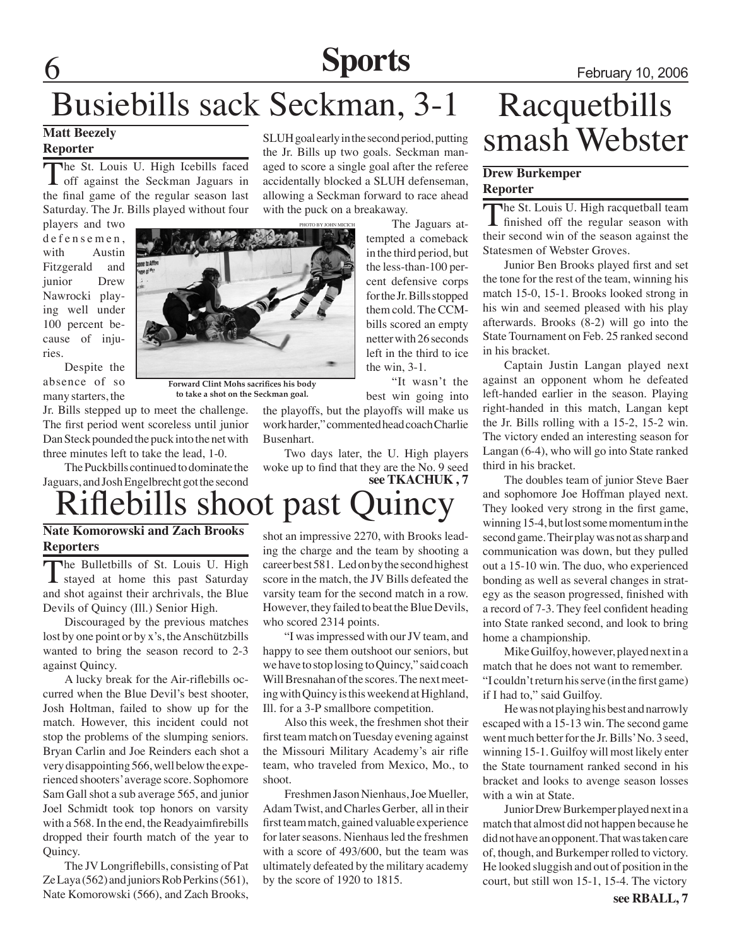## **Sports** February 10, 2006

## Busiebills sack Seckman, 3-1

#### **Matt Beezely Reporter**

The St. Louis U. High Icebills faced<br>
off against the Seckman Jaguars in the final game of the regular season last Saturday. The Jr. Bills played without four

players and two defensemen, with Austin Fitzgerald and junior Drew Nawrocki playing well under 100 percent because of injuries.

Despite the absence of so many starters, the



**Forward Clint Mohs sacrifices his body to take a shot on the Seckman goal.**

Jr. Bills stepped up to meet the challenge. The first period went scoreless until junior Dan Steck pounded the puck into the net with three minutes left to take the lead, 1-0.

The Puckbills continued to dominate the Jaguars, and Josh Engelbrecht got the second

## iflebills shoot past Quincy

#### **Nate Komorowski and Zach Brooks Reporters**

The Bulletbills of St. Louis U. High  $\perp$  stayed at home this past Saturday and shot against their archrivals, the Blue Devils of Quincy (Ill.) Senior High.

Discouraged by the previous matches lost by one point or by x's, the Anschützbills wanted to bring the season record to 2-3 against Quincy.

A lucky break for the Air-riflebills occurred when the Blue Devil's best shooter, Josh Holtman, failed to show up for the match. However, this incident could not stop the problems of the slumping seniors. Bryan Carlin and Joe Reinders each shot a very disappointing 566, well below the experienced shooters' average score. Sophomore Sam Gall shot a sub average 565, and junior Joel Schmidt took top honors on varsity with a 568. In the end, the Readyaimfirebills dropped their fourth match of the year to Quincy.

 The JV Longriflebills, consisting of Pat Ze Laya (562) and juniors Rob Perkins (561), Nate Komorowski (566), and Zach Brooks,

SLUH goal early in the second period, putting the Jr. Bills up two goals. Seckman managed to score a single goal after the referee accidentally blocked a SLUH defenseman, allowing a Seckman forward to race ahead with the puck on a breakaway.

The Jaguars attempted a comeback in the third period, but the less-than-100 percent defensive corps for the Jr. Bills stopped them cold. The CCMbills scored an empty netter with 26 seconds left in the third to ice the win, 3-1.

"It wasn't the best win going into

the playoffs, but the playoffs will make us work harder," commented head coach Charlie Busenhart.

Two days later, the U. High players woke up to find that they are the No. 9 seed **see TKACHUK , 7**

shot an impressive 2270, with Brooks leading the charge and the team by shooting a career best 581. Led on by the second highest score in the match, the JV Bills defeated the varsity team for the second match in a row. However, they failed to beat the Blue Devils, who scored 2314 points.

"I was impressed with our JV team, and happy to see them outshoot our seniors, but we have to stop losing to Quincy," said coach Will Bresnahan of the scores. The next meeting with Quincy is this weekend at Highland, Ill. for a 3-P smallbore competition.

Also this week, the freshmen shot their first team match on Tuesday evening against the Missouri Military Academy's air rifle team, who traveled from Mexico, Mo., to shoot.

Freshmen Jason Nienhaus, Joe Mueller, Adam Twist, and Charles Gerber, all in their first team match, gained valuable experience for later seasons. Nienhaus led the freshmen with a score of 493/600, but the team was ultimately defeated by the military academy by the score of 1920 to 1815.

## Racquetbills smash Webster

#### **Drew Burkemper Reporter**

The St. Louis U. High racquetball team finished off the regular season with their second win of the season against the Statesmen of Webster Groves.

Junior Ben Brooks played first and set the tone for the rest of the team, winning his match 15-0, 15-1. Brooks looked strong in his win and seemed pleased with his play afterwards. Brooks (8-2) will go into the State Tournament on Feb. 25 ranked second in his bracket.

Captain Justin Langan played next against an opponent whom he defeated left-handed earlier in the season. Playing right-handed in this match, Langan kept the Jr. Bills rolling with a 15-2, 15-2 win. The victory ended an interesting season for Langan (6-4), who will go into State ranked third in his bracket.

 The doubles team of junior Steve Baer and sophomore Joe Hoffman played next. They looked very strong in the first game, winning 15-4, but lost some momentum in the second game. Their play was not as sharp and communication was down, but they pulled out a 15-10 win. The duo, who experienced bonding as well as several changes in strategy as the season progressed, finished with a record of 7-3. They feel confident heading into State ranked second, and look to bring home a championship.

Mike Guilfoy, however, played next in a match that he does not want to remember. "I couldn't return his serve (in the first game) if I had to," said Guilfoy.

He was not playing his best and narrowly escaped with a 15-13 win. The second game went much better for the Jr. Bills' No. 3 seed, winning 15-1. Guilfoy will most likely enter the State tournament ranked second in his bracket and looks to avenge season losses with a win at State.

Junior Drew Burkemper played next in a match that almost did not happen because he did not have an opponent. That was taken care of, though, and Burkemper rolled to victory. He looked sluggish and out of position in the court, but still won 15-1, 15-4. The victory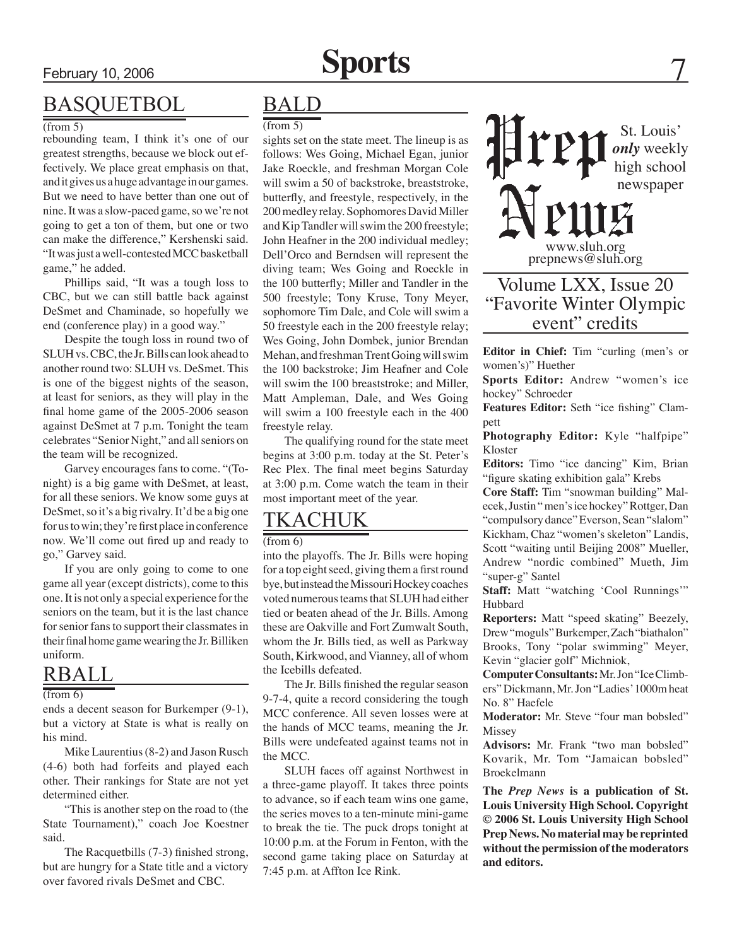### BASQUETBOL

#### $\sqrt{\text{from } 5}$

rebounding team, I think it's one of our greatest strengths, because we block out effectively. We place great emphasis on that, and it gives us a huge advantage in our games. But we need to have better than one out of nine. It was a slow-paced game, so we're not going to get a ton of them, but one or two can make the difference," Kershenski said. "It was just a well-contested MCC basketball game," he added.

Phillips said, "It was a tough loss to CBC, but we can still battle back against DeSmet and Chaminade, so hopefully we end (conference play) in a good way."

Despite the tough loss in round two of SLUH vs. CBC, the Jr. Bills can look ahead to another round two: SLUH vs. DeSmet. This is one of the biggest nights of the season, at least for seniors, as they will play in the final home game of the 2005-2006 season against DeSmet at 7 p.m. Tonight the team celebrates "Senior Night," and all seniors on the team will be recognized.

Garvey encourages fans to come. "(Tonight) is a big game with DeSmet, at least, for all these seniors. We know some guys at DeSmet, so it's a big rivalry. It'd be a big one for us to win; they're first place in conference now. We'll come out fired up and ready to go," Garvey said.

If you are only going to come to one game all year (except districts), come to this one. It is not only a special experience for the seniors on the team, but it is the last chance for senior fans to support their classmates in their final home game wearing the Jr. Billiken uniform.

### RBALL

#### (from 6)

ends a decent season for Burkemper (9-1), but a victory at State is what is really on his mind.

Mike Laurentius (8-2) and Jason Rusch (4-6) both had forfeits and played each other. Their rankings for State are not yet determined either.

"This is another step on the road to (the State Tournament)," coach Joe Koestner said.

 The Racquetbills (7-3) finished strong, but are hungry for a State title and a victory over favored rivals DeSmet and CBC.

### BALD

#### $(from 5)$

sights set on the state meet. The lineup is as follows: Wes Going, Michael Egan, junior Jake Roeckle, and freshman Morgan Cole will swim a 50 of backstroke, breaststroke, butterfly, and freestyle, respectively, in the 200 medley relay. Sophomores David Miller and Kip Tandler will swim the 200 freestyle; John Heafner in the 200 individual medley; Dell'Orco and Berndsen will represent the diving team; Wes Going and Roeckle in the 100 butterfly; Miller and Tandler in the 500 freestyle; Tony Kruse, Tony Meyer, sophomore Tim Dale, and Cole will swim a 50 freestyle each in the 200 freestyle relay; Wes Going, John Dombek, junior Brendan Mehan, and freshman Trent Going will swim the 100 backstroke; Jim Heafner and Cole will swim the 100 breaststroke; and Miller, Matt Ampleman, Dale, and Wes Going will swim a 100 freestyle each in the 400 freestyle relay.

The qualifying round for the state meet begins at 3:00 p.m. today at the St. Peter's Rec Plex. The final meet begins Saturday at 3:00 p.m. Come watch the team in their most important meet of the year.

### TKACHUK

#### (from 6)

into the playoffs. The Jr. Bills were hoping for a top eight seed, giving them a first round bye, but instead the Missouri Hockey coaches voted numerous teams that SLUH had either tied or beaten ahead of the Jr. Bills. Among these are Oakville and Fort Zumwalt South, whom the Jr. Bills tied, as well as Parkway South, Kirkwood, and Vianney, all of whom the Icebills defeated.

 The Jr. Bills finished the regular season 9-7-4, quite a record considering the tough MCC conference. All seven losses were at the hands of MCC teams, meaning the Jr. Bills were undefeated against teams not in the MCC.

SLUH faces off against Northwest in a three-game playoff. It takes three points to advance, so if each team wins one game, the series moves to a ten-minute mini-game to break the tie. The puck drops tonight at 10:00 p.m. at the Forum in Fenton, with the second game taking place on Saturday at 7:45 p.m. at Affton Ice Rink.

St. Louis' *only* weekly high school newspaper www.sluh.org prepnews@sluh.org

### Volume LXX, Issue 20 "Favorite Winter Olympic event" credits

**Editor in Chief:** Tim "curling (men's or women's)" Huether

**Sports Editor:** Andrew "women's ice hockey" Schroeder

**Features Editor:** Seth "ice fishing" Clampett

**Photography Editor:** Kyle "halfpipe" Kloster

**Editors:** Timo "ice dancing" Kim, Brian "figure skating exhibition gala" Krebs

**Core Staff:** Tim "snowman building" Malecek, Justin " men's ice hockey" Rottger, Dan "compulsory dance" Everson, Sean "slalom" Kickham, Chaz "women's skeleton" Landis, Scott "waiting until Beijing 2008" Mueller, Andrew "nordic combined" Mueth, Jim "super-g" Santel

**Staff:** Matt "watching 'Cool Runnings'" Hubbard

**Reporters:** Matt "speed skating" Beezely, Drew "moguls" Burkemper, Zach "biathalon" Brooks, Tony "polar swimming" Meyer, Kevin "glacier golf" Michniok,

**Computer Consultants:** Mr. Jon "Ice Climbers" Dickmann, Mr. Jon "Ladies' 1000m heat No. 8" Haefele

**Moderator:** Mr. Steve "four man bobsled" Missey

**Advisors:** Mr. Frank "two man bobsled" Kovarik, Mr. Tom "Jamaican bobsled" Broekelmann

**The** *Prep News* **is a publication of St. Louis University High School. Copyright © 2006 St. Louis University High School Prep News. No material may be reprinted without the permission of the moderators and editors.**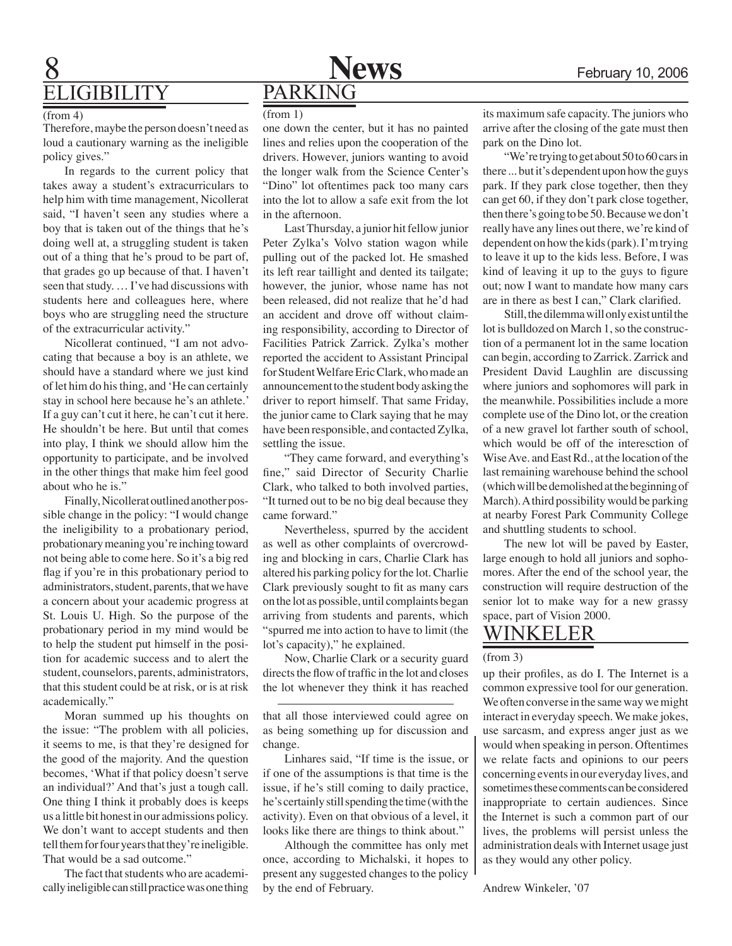

### **IGIBILITY**

#### $(from 4)$

Therefore, maybe the person doesn't need as loud a cautionary warning as the ineligible policy gives."

In regards to the current policy that takes away a student's extracurriculars to help him with time management, Nicollerat said, "I haven't seen any studies where a boy that is taken out of the things that he's doing well at, a struggling student is taken out of a thing that he's proud to be part of, that grades go up because of that. I haven't seen that study. … I've had discussions with students here and colleagues here, where boys who are struggling need the structure of the extracurricular activity."

Nicollerat continued, "I am not advocating that because a boy is an athlete, we should have a standard where we just kind of let him do his thing, and 'He can certainly stay in school here because he's an athlete.' If a guy can't cut it here, he can't cut it here. He shouldn't be here. But until that comes into play, I think we should allow him the opportunity to participate, and be involved in the other things that make him feel good about who he is."

Finally, Nicollerat outlined another possible change in the policy: "I would change the ineligibility to a probationary period, probationary meaning you're inching toward not being able to come here. So it's a big red flag if you're in this probationary period to administrators, student, parents, that we have a concern about your academic progress at St. Louis U. High. So the purpose of the probationary period in my mind would be to help the student put himself in the position for academic success and to alert the student, counselors, parents, administrators, that this student could be at risk, or is at risk academically."

Moran summed up his thoughts on the issue: "The problem with all policies, it seems to me, is that they're designed for the good of the majority. And the question becomes, 'What if that policy doesn't serve an individual?' And that's just a tough call. One thing I think it probably does is keeps us a little bit honest in our admissions policy. We don't want to accept students and then tell them for four years that they're ineligible. That would be a sad outcome.'

The fact that students who are academically ineligible can still practice was one thing

one down the center, but it has no painted lines and relies upon the cooperation of the drivers. However, juniors wanting to avoid the longer walk from the Science Center's "Dino" lot oftentimes pack too many cars into the lot to allow a safe exit from the lot in the afternoon.

Last Thursday, a junior hit fellow junior Peter Zylka's Volvo station wagon while pulling out of the packed lot. He smashed its left rear taillight and dented its tailgate; however, the junior, whose name has not been released, did not realize that he'd had an accident and drove off without claiming responsibility, according to Director of Facilities Patrick Zarrick. Zylka's mother reported the accident to Assistant Principal for Student Welfare Eric Clark, who made an announcement to the student body asking the driver to report himself. That same Friday, the junior came to Clark saying that he may have been responsible, and contacted Zylka, settling the issue.

"They came forward, and everything's fine," said Director of Security Charlie Clark, who talked to both involved parties, "It turned out to be no big deal because they came forward."

Nevertheless, spurred by the accident as well as other complaints of overcrowding and blocking in cars, Charlie Clark has altered his parking policy for the lot. Charlie Clark previously sought to fit as many cars on the lot as possible, until complaints began arriving from students and parents, which "spurred me into action to have to limit (the lot's capacity)," he explained.

Now, Charlie Clark or a security guard directs the flow of traffic in the lot and closes the lot whenever they think it has reached

that all those interviewed could agree on as being something up for discussion and change.

Linhares said, "If time is the issue, or if one of the assumptions is that time is the issue, if he's still coming to daily practice, he's certainly still spending the time (with the activity). Even on that obvious of a level, it looks like there are things to think about."

Although the committee has only met once, according to Michalski, it hopes to present any suggested changes to the policy by the end of February.

 $(\text{from 1})$  its maximum safe capacity. The juniors who arrive after the closing of the gate must then park on the Dino lot.

> "We're trying to get about 50 to 60 cars in there ... but it's dependent upon how the guys park. If they park close together, then they can get 60, if they don't park close together, then there's going to be 50. Because we don't really have any lines out there, we're kind of dependent on how the kids (park). I'm trying to leave it up to the kids less. Before, I was kind of leaving it up to the guys to figure out; now I want to mandate how many cars are in there as best I can," Clark clarified.

> Still, the dilemma will only exist until the lot is bulldozed on March 1, so the construction of a permanent lot in the same location can begin, according to Zarrick. Zarrick and President David Laughlin are discussing where juniors and sophomores will park in the meanwhile. Possibilities include a more complete use of the Dino lot, or the creation of a new gravel lot farther south of school, which would be off of the interesction of Wise Ave. and East Rd., at the location of the last remaining warehouse behind the school (which will be demolished at the beginning of March). A third possibility would be parking at nearby Forest Park Community College and shuttling students to school.

> The new lot will be paved by Easter, large enough to hold all juniors and sophomores. After the end of the school year, the construction will require destruction of the senior lot to make way for a new grassy space, part of Vision 2000.

### Winkeler

#### (from 3)

up their profiles, as do I. The Internet is a common expressive tool for our generation. We often converse in the same way we might interact in everyday speech. We make jokes, use sarcasm, and express anger just as we would when speaking in person. Oftentimes we relate facts and opinions to our peers concerning events in our everyday lives, and sometimes these comments can be considered inappropriate to certain audiences. Since the Internet is such a common part of our lives, the problems will persist unless the administration deals with Internet usage just as they would any other policy.

Andrew Winkeler, '07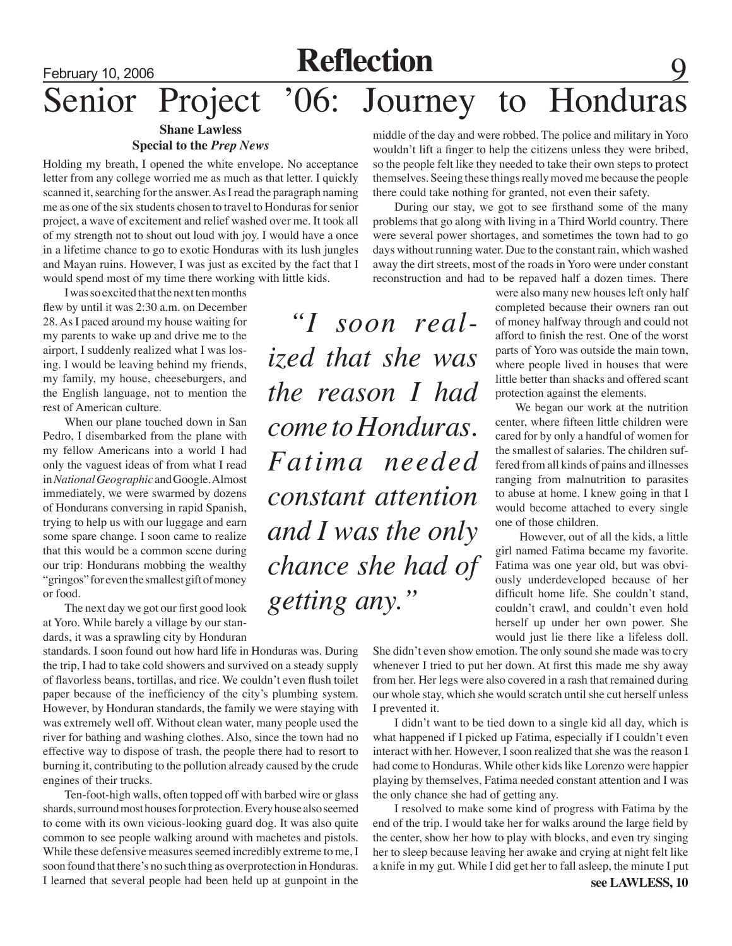## February 10, 2006 **Reflection** Senior Project '06: Journey to Honduras

#### **Shane Lawless Special to the** *Prep News*

Holding my breath, I opened the white envelope. No acceptance letter from any college worried me as much as that letter. I quickly scanned it, searching for the answer. As I read the paragraph naming me as one of the six students chosen to travel to Honduras for senior project, a wave of excitement and relief washed over me. It took all of my strength not to shout out loud with joy. I would have a once in a lifetime chance to go to exotic Honduras with its lush jungles and Mayan ruins. However, I was just as excited by the fact that I would spend most of my time there working with little kids.

I was so excited that the next ten months flew by until it was 2:30 a.m. on December 28. As I paced around my house waiting for my parents to wake up and drive me to the airport, I suddenly realized what I was losing. I would be leaving behind my friends, my family, my house, cheeseburgers, and the English language, not to mention the rest of American culture.

When our plane touched down in San Pedro, I disembarked from the plane with my fellow Americans into a world I had only the vaguest ideas of from what I read in *National Geographic* and Google. Almost immediately, we were swarmed by dozens of Hondurans conversing in rapid Spanish, trying to help us with our luggage and earn some spare change. I soon came to realize that this would be a common scene during our trip: Hondurans mobbing the wealthy "gringos" for even the smallest gift of money or food.

 The next day we got our first good look at Yoro. While barely a village by our standards, it was a sprawling city by Honduran

standards. I soon found out how hard life in Honduras was. During the trip, I had to take cold showers and survived on a steady supply of flavorless beans, tortillas, and rice. We couldn't even flush toilet paper because of the inefficiency of the city's plumbing system. However, by Honduran standards, the family we were staying with was extremely well off. Without clean water, many people used the river for bathing and washing clothes. Also, since the town had no effective way to dispose of trash, the people there had to resort to burning it, contributing to the pollution already caused by the crude engines of their trucks.

Ten-foot-high walls, often topped off with barbed wire or glass shards, surround most houses for protection. Every house also seemed to come with its own vicious-looking guard dog. It was also quite common to see people walking around with machetes and pistols. While these defensive measures seemed incredibly extreme to me, I soon found that there's no such thing as overprotection in Honduras. I learned that several people had been held up at gunpoint in the

middle of the day and were robbed. The police and military in Yoro wouldn't lift a finger to help the citizens unless they were bribed, so the people felt like they needed to take their own steps to protect themselves. Seeing these things really moved me because the people there could take nothing for granted, not even their safety.

During our stay, we got to see firsthand some of the many problems that go along with living in a Third World country. There were several power shortages, and sometimes the town had to go days without running water. Due to the constant rain, which washed away the dirt streets, most of the roads in Yoro were under constant reconstruction and had to be repaved half a dozen times. There

*"I soon realized that she was the reason I had come to Honduras. Fatima needed constant attention and I was the only chance she had of getting any."*

were also many new houses left only half completed because their owners ran out of money halfway through and could not afford to finish the rest. One of the worst parts of Yoro was outside the main town, where people lived in houses that were little better than shacks and offered scant protection against the elements.

 We began our work at the nutrition center, where fifteen little children were cared for by only a handful of women for the smallest of salaries. The children suffered from all kinds of pains and illnesses ranging from malnutrition to parasites to abuse at home. I knew going in that I would become attached to every single one of those children.

 However, out of all the kids, a little girl named Fatima became my favorite. Fatima was one year old, but was obviously underdeveloped because of her difficult home life. She couldn't stand, couldn't crawl, and couldn't even hold herself up under her own power. She would just lie there like a lifeless doll.

She didn't even show emotion. The only sound she made was to cry whenever I tried to put her down. At first this made me shy away from her. Her legs were also covered in a rash that remained during our whole stay, which she would scratch until she cut herself unless I prevented it.

I didn't want to be tied down to a single kid all day, which is what happened if I picked up Fatima, especially if I couldn't even interact with her. However, I soon realized that she was the reason I had come to Honduras. While other kids like Lorenzo were happier playing by themselves, Fatima needed constant attention and I was the only chance she had of getting any.

I resolved to make some kind of progress with Fatima by the end of the trip. I would take her for walks around the large field by the center, show her how to play with blocks, and even try singing her to sleep because leaving her awake and crying at night felt like a knife in my gut. While I did get her to fall asleep, the minute I put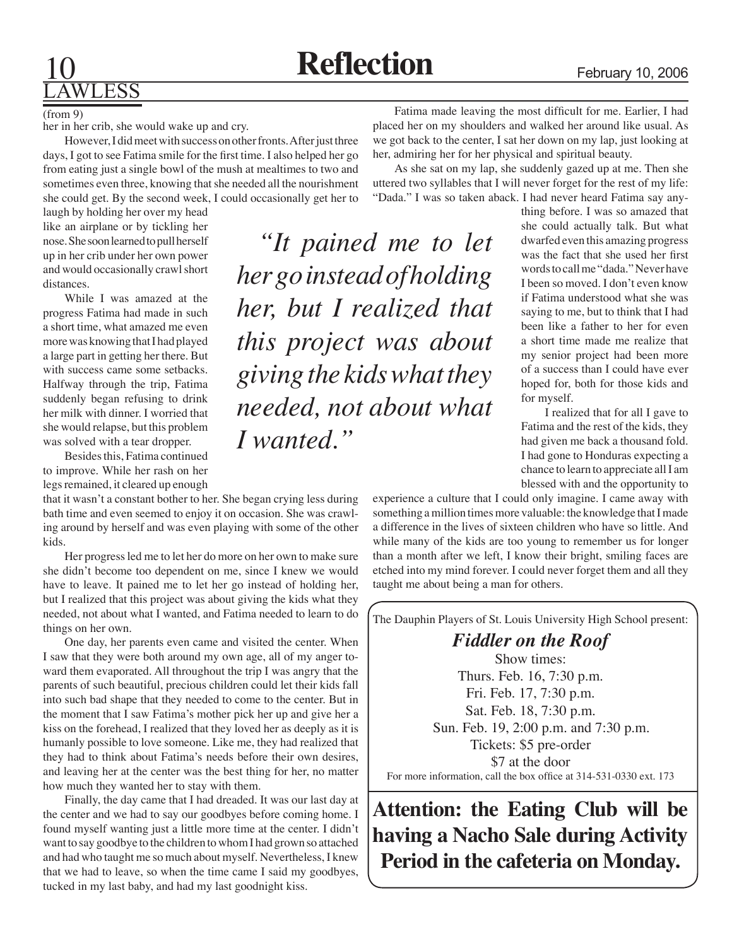## Lawless

#### (from 9)

her in her crib, she would wake up and cry.

 However, I did meet with success on other fronts. After just three days, I got to see Fatima smile for the first time. I also helped her go from eating just a single bowl of the mush at mealtimes to two and sometimes even three, knowing that she needed all the nourishment she could get. By the second week, I could occasionally get her to

laugh by holding her over my head like an airplane or by tickling her nose. She soon learned to pull herself up in her crib under her own power and would occasionally crawl short distances.

While I was amazed at the progress Fatima had made in such a short time, what amazed me even more was knowing that I had played a large part in getting her there. But with success came some setbacks. Halfway through the trip, Fatima suddenly began refusing to drink her milk with dinner. I worried that she would relapse, but this problem was solved with a tear dropper.

Besides this, Fatima continued to improve. While her rash on her legs remained, it cleared up enough

that it wasn't a constant bother to her. She began crying less during bath time and even seemed to enjoy it on occasion. She was crawling around by herself and was even playing with some of the other kids.

Her progress led me to let her do more on her own to make sure she didn't become too dependent on me, since I knew we would have to leave. It pained me to let her go instead of holding her, but I realized that this project was about giving the kids what they needed, not about what I wanted, and Fatima needed to learn to do things on her own.

 One day, her parents even came and visited the center. When I saw that they were both around my own age, all of my anger toward them evaporated. All throughout the trip I was angry that the parents of such beautiful, precious children could let their kids fall into such bad shape that they needed to come to the center. But in the moment that I saw Fatima's mother pick her up and give her a kiss on the forehead, I realized that they loved her as deeply as it is humanly possible to love someone. Like me, they had realized that they had to think about Fatima's needs before their own desires, and leaving her at the center was the best thing for her, no matter how much they wanted her to stay with them.

Finally, the day came that I had dreaded. It was our last day at the center and we had to say our goodbyes before coming home. I found myself wanting just a little more time at the center. I didn't want to say goodbye to the children to whom I had grown so attached and had who taught me so much about myself. Nevertheless, I knew that we had to leave, so when the time came I said my goodbyes, tucked in my last baby, and had my last goodnight kiss.

Fatima made leaving the most difficult for me. Earlier, I had placed her on my shoulders and walked her around like usual. As we got back to the center, I sat her down on my lap, just looking at her, admiring her for her physical and spiritual beauty.

As she sat on my lap, she suddenly gazed up at me. Then she uttered two syllables that I will never forget for the rest of my life: "Dada." I was so taken aback. I had never heard Fatima say any-

*"It pained me to let her go instead of holding her, but I realized that this project was about giving the kids what they needed, not about what I wanted."*

thing before. I was so amazed that she could actually talk. But what dwarfed even this amazing progress was the fact that she used her first words to call me "dada." Never have I been so moved. I don't even know if Fatima understood what she was saying to me, but to think that I had been like a father to her for even a short time made me realize that my senior project had been more of a success than I could have ever hoped for, both for those kids and for myself.

I realized that for all I gave to Fatima and the rest of the kids, they had given me back a thousand fold. I had gone to Honduras expecting a chance to learn to appreciate all I am blessed with and the opportunity to

experience a culture that I could only imagine. I came away with something a million times more valuable: the knowledge that I made a difference in the lives of sixteen children who have so little. And while many of the kids are too young to remember us for longer than a month after we left, I know their bright, smiling faces are etched into my mind forever. I could never forget them and all they taught me about being a man for others.

The Dauphin Players of St. Louis University High School present:

*Fiddler on the Roof* Show times: Thurs. Feb. 16, 7:30 p.m. Fri. Feb. 17, 7:30 p.m. Sat. Feb. 18, 7:30 p.m. Sun. Feb. 19, 2:00 p.m. and 7:30 p.m. Tickets: \$5 pre-order \$7 at the door For more information, call the box office at 314-531-0330 ext. 173

**Attention: the Eating Club will be having a Nacho Sale during Activity Period in the cafeteria on Monday.**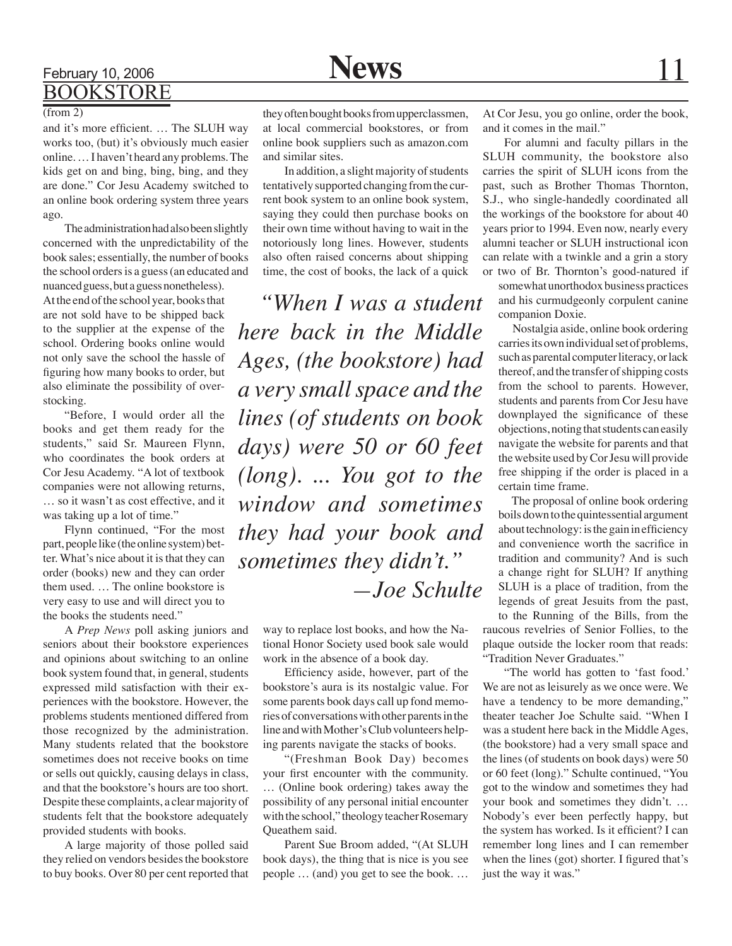### February 10, 2006 **News** 11 **BOOKSTORE**

#### $\overline{(from 2)}$

and it's more efficient. … The SLUH way works too, (but) it's obviously much easier online. … I haven't heard any problems. The kids get on and bing, bing, bing, and they are done." Cor Jesu Academy switched to an online book ordering system three years ago.

The administration had also been slightly concerned with the unpredictability of the book sales; essentially, the number of books the school orders is a guess (an educated and nuanced guess, but a guess nonetheless). At the end of the school year, books that are not sold have to be shipped back to the supplier at the expense of the school. Ordering books online would not only save the school the hassle of figuring how many books to order, but also eliminate the possibility of overstocking.

"Before, I would order all the books and get them ready for the students," said Sr. Maureen Flynn, who coordinates the book orders at Cor Jesu Academy. "A lot of textbook companies were not allowing returns, … so it wasn't as cost effective, and it was taking up a lot of time."

Flynn continued, "For the most part, people like (the online system) better. What's nice about it is that they can order (books) new and they can order them used. … The online bookstore is very easy to use and will direct you to the books the students need."

A *Prep News* poll asking juniors and seniors about their bookstore experiences and opinions about switching to an online book system found that, in general, students expressed mild satisfaction with their experiences with the bookstore. However, the problems students mentioned differed from those recognized by the administration. Many students related that the bookstore sometimes does not receive books on time or sells out quickly, causing delays in class, and that the bookstore's hours are too short. Despite these complaints, a clear majority of students felt that the bookstore adequately provided students with books.

A large majority of those polled said they relied on vendors besides the bookstore to buy books. Over 80 per cent reported that

they often bought books from upperclassmen, at local commercial bookstores, or from online book suppliers such as amazon.com and similar sites.

In addition, a slight majority of students tentatively supported changing from the current book system to an online book system, saying they could then purchase books on their own time without having to wait in the notoriously long lines. However, students also often raised concerns about shipping time, the cost of books, the lack of a quick

*"When I was a student here back in the Middle Ages, (the bookstore) had a very small space and the lines (of students on book days) were 50 or 60 feet (long). ... You got to the window and sometimes they had your book and sometimes they didn't." —Joe Schulte*

> way to replace lost books, and how the National Honor Society used book sale would work in the absence of a book day.

> Efficiency aside, however, part of the bookstore's aura is its nostalgic value. For some parents book days call up fond memories of conversations with other parents in the line and with Mother's Club volunteers helping parents navigate the stacks of books.

> "(Freshman Book Day) becomes your first encounter with the community. … (Online book ordering) takes away the possibility of any personal initial encounter with the school," theology teacher Rosemary Queathem said.

> Parent Sue Broom added, "(At SLUH book days), the thing that is nice is you see people … (and) you get to see the book. …

At Cor Jesu, you go online, order the book, and it comes in the mail."

For alumni and faculty pillars in the SLUH community, the bookstore also carries the spirit of SLUH icons from the past, such as Brother Thomas Thornton, S.J., who single-handedly coordinated all the workings of the bookstore for about 40 years prior to 1994. Even now, nearly every alumni teacher or SLUH instructional icon can relate with a twinkle and a grin a story or two of Br. Thornton's good-natured if

somewhat unorthodox business practices and his curmudgeonly corpulent canine companion Doxie.

 Nostalgia aside, online book ordering carries its own individual set of problems, such as parental computer literacy, or lack thereof, and the transfer of shipping costs from the school to parents. However, students and parents from Cor Jesu have downplayed the significance of these objections, noting that students can easily navigate the website for parents and that the website used by Cor Jesu will provide free shipping if the order is placed in a certain time frame.

 The proposal of online book ordering boils down to the quintessential argument about technology: is the gain in efficiency and convenience worth the sacrifice in tradition and community? And is such a change right for SLUH? If anything SLUH is a place of tradition, from the legends of great Jesuits from the past,

to the Running of the Bills, from the raucous revelries of Senior Follies, to the plaque outside the locker room that reads: "Tradition Never Graduates."

"The world has gotten to 'fast food.' We are not as leisurely as we once were. We have a tendency to be more demanding," theater teacher Joe Schulte said. "When I was a student here back in the Middle Ages, (the bookstore) had a very small space and the lines (of students on book days) were 50 or 60 feet (long)." Schulte continued, "You got to the window and sometimes they had your book and sometimes they didn't. … Nobody's ever been perfectly happy, but the system has worked. Is it efficient? I can remember long lines and I can remember when the lines (got) shorter. I figured that's just the way it was."